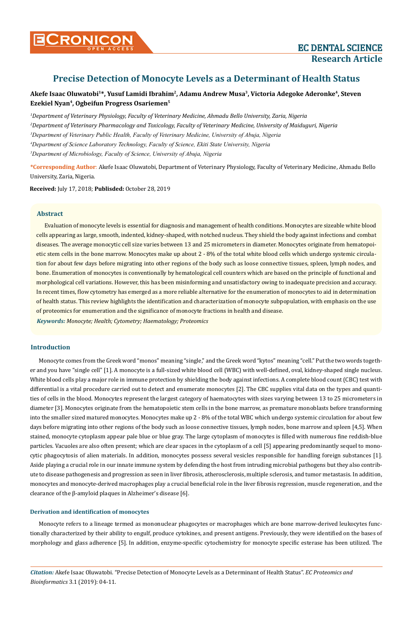# **Precise Detection of Monocyte Levels as a Determinant of Health Status**

**Akefe Isaac Oluwatobi1\*, Yusuf Lamidi Ibrahim2, Adamu Andrew Musa3, Victoria Adegoke Aderonke4, Steven Ezekiel Nyan4, Ogbeifun Progress Osariemen5**

 *Department of Veterinary Physiology, Faculty of Veterinary Medicine, Ahmadu Bello University, Zaria, Nigeria Department of Veterinary Pharmacology and Toxicology, Faculty of Veterinary Medicine, University of Maiduguri, Nigeria Department of Veterinary Public Health, Faculty of Veterinary Medicine, University of Abuja, Nigeria Department of Science Laboratory Technology, Faculty of Science, Ekiti State University, Nigeria Department of Microbiology, Faculty of Science, University of Abuja, Nigeria*

**\*Corresponding Author**: Akefe Isaac Oluwatobi, Department of Veterinary Physiology, Faculty of Veterinary Medicine, Ahmadu Bello University, Zaria, Nigeria.

**Received:** July 17, 2018; **Publisded:** October 28, 2019

# **Abstract**

Evaluation of monocyte levels is essential for diagnosis and management of health conditions. Monocytes are sizeable white blood cells appearing as large, smooth, indented, kidney-shaped, with notched nucleus. They shield the body against infections and combat diseases. The average monocytic cell size varies between 13 and 25 micrometers in diameter. Monocytes originate from hematopoietic stem cells in the bone marrow. Monocytes make up about 2 - 8% of the total white blood cells which undergo systemic circulation for about few days before migrating into other regions of the body such as loose connective tissues, spleen, lymph nodes, and bone. Enumeration of monocytes is conventionally by hematological cell counters which are based on the principle of functional and morphological cell variations. However, this has been misinforming and unsatisfactory owing to inadequate precision and accuracy. In recent times, flow cytometry has emerged as a more reliable alternative for the enumeration of monocytes to aid in determination of health status. This review highlights the identification and characterization of monocyte subpopulation, with emphasis on the use of proteomics for enumeration and the significance of monocyte fractions in health and disease.

*Keywords: Monocyte; Health; Cytometry; Haematology; Proteomics*

# **Introduction**

Monocyte comes from the Greek word "monos" meaning "single," and the Greek word "kytos" meaning "cell." Put the two words together and you have "single cell" [1]. A monocyte is a full-sized white blood cell (WBC) with well-defined, oval, kidney-shaped single nucleus. White blood cells play a major role in immune protection by shielding the body against infections. A complete blood count (CBC) test with differential is a vital procedure carried out to detect and enumerate monocytes [2]. The CBC supplies vital data on the types and quantities of cells in the blood. Monocytes represent the largest category of haematocytes with sizes varying between 13 to 25 micrometers in diameter [3]. Monocytes originate from the hematopoietic stem cells in the bone marrow, as premature monoblasts before transforming into the smaller sized matured monocytes. Monocytes make up 2 - 8% of the total WBC which undergo systemic circulation for about few days before migrating into other regions of the body such as loose connective tissues, lymph nodes, bone marrow and spleen [4,5]. When stained, monocyte cytoplasm appear pale blue or blue gray. The large cytoplasm of monocytes is filled with numerous fine reddish-blue particles. Vacuoles are also often present; which are clear spaces in the cytoplasm of a cell [5] appearing predominantly sequel to monocytic phagocytosis of alien materials. In addition, monocytes possess several vesicles responsible for handling foreign substances [1]. Aside playing a crucial role in our innate immune system by defending the host from intruding microbial pathogens but they also contribute to disease pathogenesis and progression as seen in liver fibrosis, atherosclerosis, multiple sclerosis, and tumor metastasis. In addition, monocytes and monocyte-derived macrophages play a crucial beneficial role in the liver fibrosis regression, muscle regeneration, and the clearance of the β-amyloid plaques in Alzheimer's disease [6].

# **Derivation and identification of monocytes**

Monocyte refers to a lineage termed as mononuclear phagocytes or macrophages which are bone marrow-derived leukocytes functionally characterized by their ability to engulf, produce cytokines, and present antigens. Previously, they were identified on the bases of morphology and glass adherence [5]. In addition, enzyme-specific cytochemistry for monocyte specific esterase has been utilized. The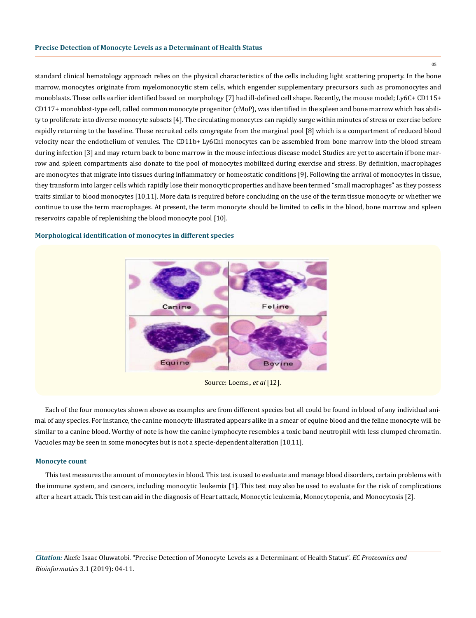standard clinical hematology approach relies on the physical characteristics of the cells including light scattering property. In the bone marrow, monocytes originate from myelomonocytic stem cells, which engender supplementary precursors such as promonocytes and monoblasts. These cells earlier identified based on morphology [7] had ill-defined cell shape. Recently, the mouse model; Ly6C+ CD115+ CD117+ monoblast-type cell, called common monocyte progenitor (cMoP), was identified in the spleen and bone marrow which has ability to proliferate into diverse monocyte subsets [4]. The circulating monocytes can rapidly surge within minutes of stress or exercise before rapidly returning to the baseline. These recruited cells congregate from the marginal pool [8] which is a compartment of reduced blood velocity near the endothelium of venules. The CD11b+ Ly6Chi monocytes can be assembled from bone marrow into the blood stream during infection [3] and may return back to bone marrow in the mouse infectious disease model. Studies are yet to ascertain if bone marrow and spleen compartments also donate to the pool of monocytes mobilized during exercise and stress. By definition, macrophages are monocytes that migrate into tissues during inflammatory or homeostatic conditions [9]. Following the arrival of monocytes in tissue, they transform into larger cells which rapidly lose their monocytic properties and have been termed "small macrophages" as they possess traits similar to blood monocytes [10,11]. More data is required before concluding on the use of the term tissue monocyte or whether we continue to use the term macrophages. At present, the term monocyte should be limited to cells in the blood, bone marrow and spleen reservoirs capable of replenishing the blood monocyte pool [10].

### **Morphological identification of monocytes in different species**



Source: Loems., *et al* [12].

Each of the four monocytes shown above as examples are from different species but all could be found in blood of any individual animal of any species. For instance, the canine monocyte illustrated appears alike in a smear of equine blood and the feline monocyte will be similar to a canine blood. Worthy of note is how the canine lymphocyte resembles a toxic band neutrophil with less clumped chromatin. Vacuoles may be seen in some monocytes but is not a specie-dependent alteration [10,11].

#### **Monocyte count**

This test measures the amount of monocytes in blood. This test is used to evaluate and manage blood disorders, certain problems with the immune system, and cancers, including monocytic leukemia [1]. This test may also be used to evaluate for the risk of complications after a heart attack. This test can aid in the diagnosis of Heart attack, Monocytic leukemia, Monocytopenia, and Monocytosis [2].

*Citation:* Akefe Isaac Oluwatobi*.* "Precise Detection of Monocyte Levels as a Determinant of Health Status". *EC Proteomics and Bioinformatics* 3.1 (2019): 04-11.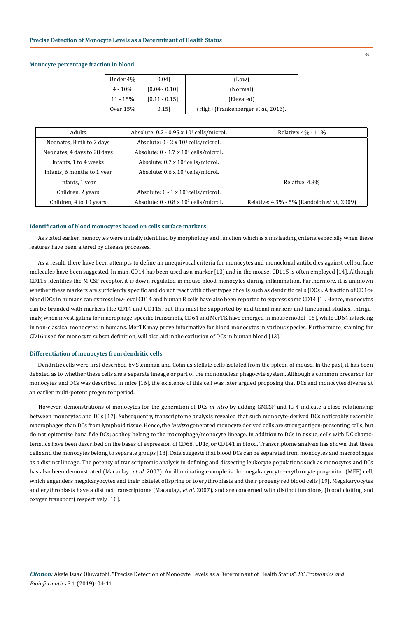#### **Monocyte percentage fraction in blood**

| Under 4%   | [0.04]          | (Low)                                |
|------------|-----------------|--------------------------------------|
| $4 - 10\%$ | $[0.04 - 0.10]$ | (Normal)                             |
| $11 - 15%$ | $[0.11 - 0.15]$ | (Elevated)                           |
| Over 15%   | [0.15]          | (High) (Frankenberger et al., 2013). |

| <b>Adults</b>               | Absolute: 0.2 - 0.95 x 10 <sup>3</sup> cells/microL | Relative: 4% - 11%                          |
|-----------------------------|-----------------------------------------------------|---------------------------------------------|
| Neonates, Birth to 2 days   | Absolute: 0 - 2 x 10 <sup>3</sup> cells/microL      |                                             |
| Neonates, 4 days to 28 days | Absolute: 0 - 1.7 x 10 <sup>3</sup> cells/microL    |                                             |
| Infants, 1 to 4 weeks       | Absolute: $0.7 \times 10^3$ cells/microL            |                                             |
| Infants, 6 months to 1 year | Absolute: $0.6 \times 10^3$ cells/microL            |                                             |
| Infants, 1 year             |                                                     | Relative: 4.8%                              |
| Children, 2 years           | Absolute: $0 - 1 \times 10^3$ cells/microL          |                                             |
| Children, 4 to 10 years     | Absolute: 0 - 0.8 x 10 <sup>3</sup> cells/microL    | Relative: 4.3% - 5% (Randolph et al., 2009) |

# **Identification of blood monocytes based on cells surface markers**

As stated earlier, monocytes were initially identified by morphology and function which is a misleading criteria especially when these features have been altered by disease processes.

As a result, there have been attempts to define an unequivocal criteria for monocytes and monoclonal antibodies against cell surface molecules have been suggested. In man, CD14 has been used as a marker [13] and in the mouse, CD115 is often employed [14]. Although CD115 identifies the M-CSF receptor, it is down-regulated in mouse blood monocytes during inflammation. Furthermore, it is unknown whether these markers are sufficiently specific and do not react with other types of cells such as dendritic cells (DCs). A fraction of CD1c+ blood DCs in humans can express low-level CD14 and human B cells have also been reported to express some CD14 [1]. Hence, monocytes can be branded with markers like CD14 and CD115, but this must be supported by additional markers and functional studies. Intriguingly, when investigating for macrophage-specific transcripts, CD64 and MerTK have emerged in mouse model [15], while CD64 is lacking in non-classical monocytes in humans. MerTK may prove informative for blood monocytes in various species. Furthermore, staining for CD16 used for monocyte subset definition, will also aid in the exclusion of DCs in human blood [13].

# **Differentiation of monocytes from dendritic cells**

Dendritic cells were first described by Steinman and Cohn as stellate cells isolated from the spleen of mouse. In the past, it has been debated as to whether these cells are a separate lineage or part of the mononuclear phagocyte system. Although a common precursor for monocytes and DCs was described in mice [16], the existence of this cell was later argued proposing that DCs and monocytes diverge at an earlier multi-potent progenitor period.

However, demonstrations of monocytes for the generation of DCs *in vitro* by adding GMCSF and IL-4 indicate a close relationship between monocytes and DCs [17]. Subsequently, transcriptome analysis revealed that such monocyte-derived DCs noticeably resemble macrophages than DCs from lymphoid tissue. Hence, the *in vitro* generated monocyte derived cells are strong antigen-presenting cells, but do not epitomize bona fide DCs; as they belong to the macrophage/monocyte lineage. In addition to DCs in tissue, cells with DC characteristics have been described on the bases of expression of CD68, CD1c, or CD141 in blood. Transcriptome analysis has shown that these cells and the monocytes belong to separate groups [18]. Data suggests that blood DCs can be separated from monocytes and macrophages as a distinct lineage. The potency of transcriptomic analysis in defining and dissecting leukocyte populations such as monocytes and DCs has also been demonstrated (Macaulay., *et al.* 2007). An illuminating example is the megakaryocyte–erythrocyte progenitor (MEP) cell, which engenders megakaryocytes and their platelet offspring or to erythroblasts and their progeny red blood cells [19]. Megakaryocytes and erythroblasts have a distinct transcriptome (Macaulay., *et al*. 2007), and are concerned with distinct functions, (blood clotting and oxygen transport) respectively [10].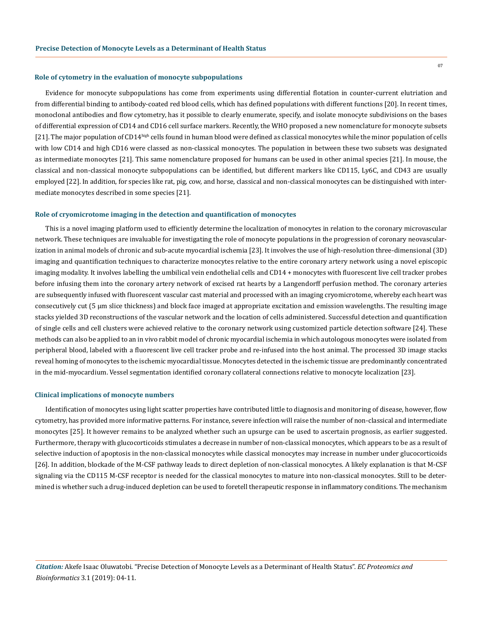#### **Role of cytometry in the evaluation of monocyte subpopulations**

Evidence for monocyte subpopulations has come from experiments using differential flotation in counter-current elutriation and from differential binding to antibody-coated red blood cells, which has defined populations with different functions [20]. In recent times, monoclonal antibodies and flow cytometry, has it possible to clearly enumerate, specify, and isolate monocyte subdivisions on the bases of differential expression of CD14 and CD16 cell surface markers. Recently, the WHO proposed a new nomenclature for monocyte subsets [21]. The major population of CD14<sup>high</sup> cells found in human blood were defined as classical monocytes while the minor population of cells with low CD14 and high CD16 were classed as non-classical monocytes. The population in between these two subsets was designated as intermediate monocytes [21]. This same nomenclature proposed for humans can be used in other animal species [21]. In mouse, the classical and non-classical monocyte subpopulations can be identified, but different markers like CD115, Ly6C, and CD43 are usually employed [22]. In addition, for species like rat, pig, cow, and horse, classical and non-classical monocytes can be distinguished with intermediate monocytes described in some species [21].

#### **Role of cryomicrotome imaging in the detection and quantification of monocytes**

This is a novel imaging platform used to efficiently determine the localization of monocytes in relation to the coronary microvascular network. These techniques are invaluable for investigating the role of monocyte populations in the progression of coronary neovascularization in animal models of chronic and sub-acute myocardial ischemia [23]. It involves the use of high-resolution three-dimensional (3D) imaging and quantification techniques to characterize monocytes relative to the entire coronary artery network using a novel episcopic imaging modality. It involves labelling the umbilical vein endothelial cells and CD14 + monocytes with fluorescent live cell tracker probes before infusing them into the coronary artery network of excised rat hearts by a Langendorff perfusion method. The coronary arteries are subsequently infused with fluorescent vascular cast material and processed with an imaging cryomicrotome, whereby each heart was consecutively cut (5 μm slice thickness) and block face imaged at appropriate excitation and emission wavelengths. The resulting image stacks yielded 3D reconstructions of the vascular network and the location of cells administered. Successful detection and quantification of single cells and cell clusters were achieved relative to the coronary network using customized particle detection software [24]. These methods can also be applied to an in vivo rabbit model of chronic myocardial ischemia in which autologous monocytes were isolated from peripheral blood, labeled with a fluorescent live cell tracker probe and re-infused into the host animal. The processed 3D image stacks reveal homing of monocytes to the ischemic myocardial tissue. Monocytes detected in the ischemic tissue are predominantly concentrated in the mid-myocardium. Vessel segmentation identified coronary collateral connections relative to monocyte localization [23].

#### **Clinical implications of monocyte numbers**

Identification of monocytes using light scatter properties have contributed little to diagnosis and monitoring of disease, however, flow cytometry, has provided more informative patterns. For instance, severe infection will raise the number of non-classical and intermediate monocytes [25]. It however remains to be analyzed whether such an upsurge can be used to ascertain prognosis, as earlier suggested. Furthermore, therapy with glucocorticoids stimulates a decrease in number of non-classical monocytes, which appears to be as a result of selective induction of apoptosis in the non-classical monocytes while classical monocytes may increase in number under glucocorticoids [26]. In addition, blockade of the M-CSF pathway leads to direct depletion of non-classical monocytes. A likely explanation is that M-CSF signaling via the CD115 M-CSF receptor is needed for the classical monocytes to mature into non-classical monocytes. Still to be determined is whether such a drug-induced depletion can be used to foretell therapeutic response in inflammatory conditions. The mechanism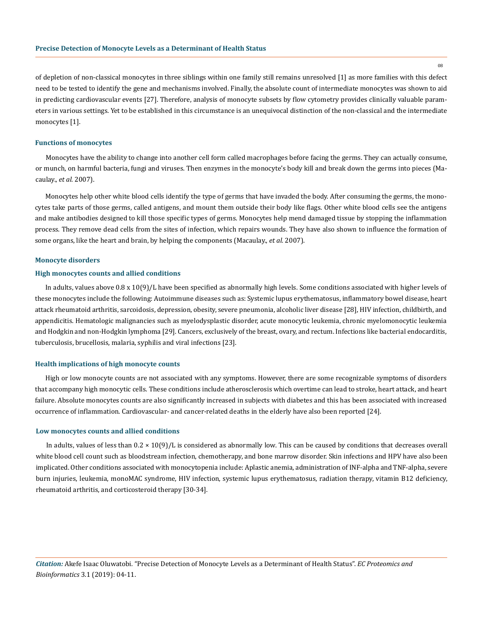08

of depletion of non-classical monocytes in three siblings within one family still remains unresolved [1] as more families with this defect need to be tested to identify the gene and mechanisms involved. Finally, the absolute count of intermediate monocytes was shown to aid in predicting cardiovascular events [27]. Therefore, analysis of monocyte subsets by flow cytometry provides clinically valuable parameters in various settings. Yet to be established in this circumstance is an unequivocal distinction of the non-classical and the intermediate monocytes [1].

#### **Functions of monocytes**

Monocytes have the ability to change into another cell form called macrophages before facing the germs. They can actually consume, or munch, on harmful bacteria, fungi and viruses. Then enzymes in the monocyte's body kill and break down the germs into pieces (Macaulay., *et al.* 2007).

Monocytes help other white blood cells identify the type of germs that have invaded the body. After consuming the germs, the monocytes take parts of those germs, called antigens, and mount them outside their body like flags. Other white blood cells see the antigens and make antibodies designed to kill those specific types of germs. Monocytes help mend damaged tissue by stopping the inflammation process. They remove dead cells from the sites of infection, which repairs wounds. They have also shown to influence the formation of some organs, like the heart and brain, by helping the components (Macaulay., *et al.* 2007).

#### **Monocyte disorders**

# **High monocytes counts and allied conditions**

In adults, values above 0.8 x 10(9)/L have been specified as abnormally high levels. Some conditions associated with higher levels of these monocytes include the following: Autoimmune diseases such as: Systemic lupus erythematosus, inflammatory bowel disease, heart attack rheumatoid arthritis, sarcoidosis, depression, obesity, severe pneumonia, alcoholic liver disease [28], HIV infection, childbirth, and appendicitis. Hematologic malignancies such as myelodysplastic disorder, acute monocytic leukemia, chronic myelomonocytic leukemia and Hodgkin and non-Hodgkin lymphoma [29]. Cancers, exclusively of the breast, ovary, and rectum. Infections like bacterial endocarditis, tuberculosis, brucellosis, malaria, syphilis and viral infections [23].

#### **Health implications of high monocyte counts**

High or low monocyte counts are not associated with any symptoms. However, there are some recognizable symptoms of disorders that accompany high monocytic cells. These conditions include atherosclerosis which overtime can lead to stroke, heart attack, and heart failure. Absolute monocytes counts are also significantly increased in subjects with diabetes and this has been associated with increased occurrence of inflammation. Cardiovascular- and cancer-related deaths in the elderly have also been reported [24].

#### **Low monocytes counts and allied conditions**

In adults, values of less than  $0.2 \times 10(9)/L$  is considered as abnormally low. This can be caused by conditions that decreases overall white blood cell count such as bloodstream infection, chemotherapy, and bone marrow disorder. Skin infections and HPV have also been implicated. Other conditions associated with monocytopenia include: Aplastic anemia, administration of INF-alpha and TNF-alpha, severe burn injuries, leukemia, monoMAC syndrome, HIV infection, systemic lupus erythematosus, radiation therapy, vitamin B12 deficiency, rheumatoid arthritis, and corticosteroid therapy [30-34].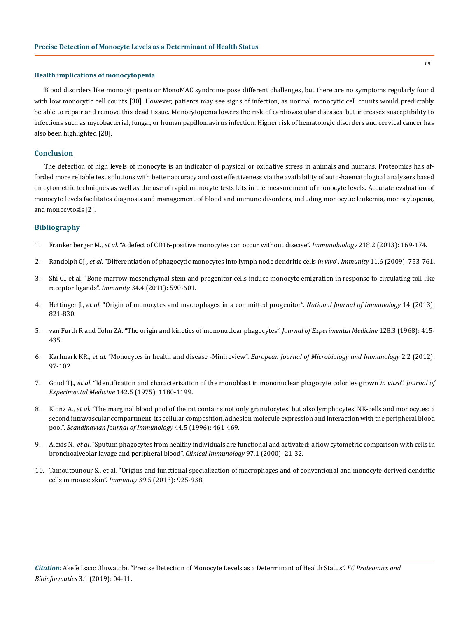#### **Health implications of monocytopenia**

Blood disorders like monocytopenia or MonoMAC syndrome pose different challenges, but there are no symptoms regularly found with low monocytic cell counts [30]. However, patients may see signs of infection, as normal monocytic cell counts would predictably be able to repair and remove this dead tissue. Monocytopenia lowers the risk of cardiovascular diseases, but increases susceptibility to infections such as mycobacterial, fungal, or human papillomavirus infection. Higher risk of hematologic disorders and cervical cancer has also been highlighted [28].

# **Conclusion**

The detection of high levels of monocyte is an indicator of physical or oxidative stress in animals and humans. Proteomics has afforded more reliable test solutions with better accuracy and cost effectiveness via the availability of auto-haematological analysers based on cytometric techniques as well as the use of rapid monocyte tests kits in the measurement of monocyte levels. Accurate evaluation of monocyte levels facilitates diagnosis and management of blood and immune disorders, including monocytic leukemia, monocytopenia, and monocytosis [2].

# **Bibliography**

- 1. Frankenberger M., *et al*[. "A defect of CD16-positive monocytes can occur without disease".](https://www.ncbi.nlm.nih.gov/pubmed/22459269) *Immunobiology* 218.2 (2013): 169-174.
- 2. Randolph GJ., *et al*[. "Differentiation of phagocytic monocytes into lymph node dendritic cells](https://www.ncbi.nlm.nih.gov/pubmed/10626897) *in vivo*". *Immunity* 11.6 (2009): 753-761.
- 3. [Shi C., et al. "Bone marrow mesenchymal stem and progenitor cells induce monocyte emigration in response to circulating toll-like](https://www.ncbi.nlm.nih.gov/pubmed/21458307)  receptor ligands". *Immunity* [34.4 \(2011\): 590-601.](https://www.ncbi.nlm.nih.gov/pubmed/21458307)
- 4. Hettinger J., *et al*[. "Origin of monocytes and macrophages in a committed progenitor".](https://www.nature.com/articles/ni.2638) *National Journal of Immunology* 14 (2013): [821-830.](https://www.nature.com/articles/ni.2638)
- 5. [van Furth R and Cohn ZA. "The origin and kinetics of mononuclear phagocytes".](https://www.ncbi.nlm.nih.gov/pmc/articles/PMC2138527/) *Journal of Experimental Medicine* 128.3 (1968): 415- [435.](https://www.ncbi.nlm.nih.gov/pmc/articles/PMC2138527/)
- 6. Karlmark KR., *et al*. "Monocytes in health and disease -Minireview". *[European Journal of Microbiology and Immunology](https://www.ncbi.nlm.nih.gov/pmc/articles/PMC3956957/)* 2.2 (2012): [97-102.](https://www.ncbi.nlm.nih.gov/pmc/articles/PMC3956957/)
- 7. Goud TJ., *et al*[. "Identification and characterization of the monoblast in mononuclear phagocyte colonies grown](https://www.ncbi.nlm.nih.gov/pmc/articles/PMC2189966/) *in vitro*". *Journal of Experimental Medicine* [142.5 \(1975\): 1180-1199.](https://www.ncbi.nlm.nih.gov/pmc/articles/PMC2189966/)
- 8. Klonz A., *et al*[. "The marginal blood pool of the rat contains not only granulocytes, but also lymphocytes, NK-cells and monocytes: a](https://www.ncbi.nlm.nih.gov/pubmed/8947597)  [second intravascular compartment, its cellular composition, adhesion molecule expression and interaction with the peripheral blood](https://www.ncbi.nlm.nih.gov/pubmed/8947597)  pool". *[Scandinavian Journal of Immunology](https://www.ncbi.nlm.nih.gov/pubmed/8947597)* 44.5 (1996): 461-469.
- 9. Alexis N., *et al*[. "Sputum phagocytes from healthy individuals are functional and activated: a flow cytometric comparison with cells in](https://www.ncbi.nlm.nih.gov/pubmed/10998314)  [bronchoalveolar lavage and peripheral blood".](https://www.ncbi.nlm.nih.gov/pubmed/10998314) *Clinical Immunology* 97.1 (2000): 21-32.
- 10. [Tamoutounour S., et al. "Origins and functional specialization of macrophages and of conventional and monocyte derived dendritic](https://www.ncbi.nlm.nih.gov/pubmed/24184057) cells in mouse skin". *Immunity* [39.5 \(2013\): 925-938.](https://www.ncbi.nlm.nih.gov/pubmed/24184057)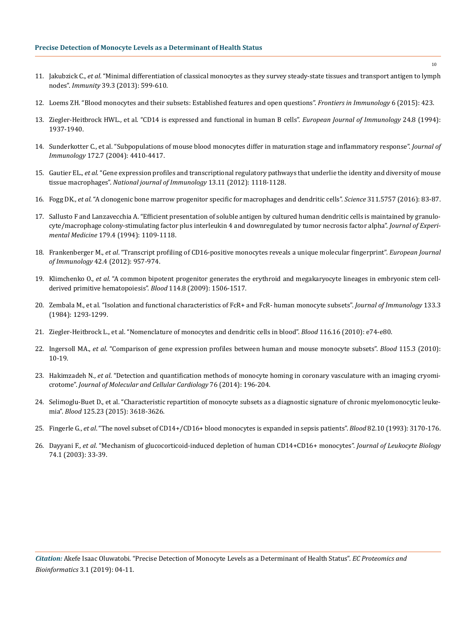- 11. Jakubzick C., *et al*[. "Minimal differentiation of classical monocytes as they survey steady-state tissues and transport antigen to lymph](https://www.ncbi.nlm.nih.gov/pubmed/24012416) nodes". *Immunity* [39.3 \(2013\): 599-610.](https://www.ncbi.nlm.nih.gov/pubmed/24012416)
- 12. [Loems ZH. "Blood monocytes and their subsets: Established features and open questions".](https://www.ncbi.nlm.nih.gov/pmc/articles/PMC4538304/) *Frontiers in Immunology* 6 (2015): 423.
- 13. [Ziegler-Heitbrock HWL., et al. "CD14 is expressed and functional in human B cells".](https://www.ncbi.nlm.nih.gov/pubmed/7520002) *European Journal of Immunology* 24.8 (1994): [1937-1940.](https://www.ncbi.nlm.nih.gov/pubmed/7520002)
- 14. [Sunderkotter C., et al. "Subpopulations of mouse blood monocytes differ in maturation stage and inflammatory response".](https://www.ncbi.nlm.nih.gov/pubmed/15034056) *Journal of Immunology* [172.7 \(2004\): 4410-4417.](https://www.ncbi.nlm.nih.gov/pubmed/15034056)
- 15. Gautier EL., *et al*[. "Gene expression profiles and transcriptional regulatory pathways that underlie the identity and diversity of mouse](https://www.ncbi.nlm.nih.gov/pubmed/23023392) tissue macrophages". *[National journal of Immunology](https://www.ncbi.nlm.nih.gov/pubmed/23023392)* 13.11 (2012): 1118-1128.
- 16. Fogg DK., *et al*[. "A clonogenic bone marrow progenitor specific for macrophages and dendritic cells".](https://www.ncbi.nlm.nih.gov/pubmed/16322423) *Science* 311.5757 (2016): 83-87.
- 17. [Sallusto F and Lanzavecchia A. "Efficient presentation of soluble antigen by cultured human dendritic cells is maintained by granulo](https://www.ncbi.nlm.nih.gov/pubmed/8145033)[cyte/macrophage colony-stimulating factor plus interleukin 4 and downregulated by tumor necrosis factor alpha".](https://www.ncbi.nlm.nih.gov/pubmed/8145033) *Journal of Experimental Medicine* [179.4 \(1994\): 1109-1118.](https://www.ncbi.nlm.nih.gov/pubmed/8145033)
- 18. Frankenberger M., *et al*[. "Transcript profiling of CD16-positive monocytes reveals a unique molecular fingerprint".](https://www.ncbi.nlm.nih.gov/pubmed/22531920) *European Journal of Immunology* [42.4 \(2012\): 957-974.](https://www.ncbi.nlm.nih.gov/pubmed/22531920)
- 19. Klimchenko O., *et al*[. "A common bipotent progenitor generates the erythroid and megakaryocyte lineages in embryonic stem cell](https://www.ncbi.nlm.nih.gov/pubmed/19478046)[derived primitive hematopoiesis".](https://www.ncbi.nlm.nih.gov/pubmed/19478046) *Blood* 114.8 (2009): 1506-1517.
- 20. [Zembala M., et al. "Isolation and functional characteristics of FcR+ and FcR- human monocyte subsets".](https://www.ncbi.nlm.nih.gov/pubmed/6235284) *Journal of Immunology* 133.3 [\(1984\): 1293-1299.](https://www.ncbi.nlm.nih.gov/pubmed/6235284)
- 21. [Ziegler-Heitbrock L., et al. "Nomenclature of monocytes and dendritic cells in blood".](https://www.ncbi.nlm.nih.gov/pubmed/20628149) *Blood* 116.16 (2010): e74-e80.
- 22. Ingersoll MA., *et al*[. "Comparison of gene expression profiles between human and mouse monocyte subsets".](https://www.ncbi.nlm.nih.gov/pubmed/19965649) *Blood* 115.3 (2010): [10-19.](https://www.ncbi.nlm.nih.gov/pubmed/19965649)
- 23. Hakimzadeh N., *et al*[. "Detection and quantification methods of monocyte homing in coronary vasculature with an imaging cryomi](https://www.ncbi.nlm.nih.gov/pubmed/25179912)crotome". *[Journal of Molecular and Cellular Cardiology](https://www.ncbi.nlm.nih.gov/pubmed/25179912)* 76 (2014): 196-204.
- 24. [Selimoglu-Buet D., et al. "Characteristic repartition of monocyte subsets as a diagnostic signature of chronic myelomonocytic leuke](https://www.ncbi.nlm.nih.gov/pubmed/25852055)mia". *Blood* [125.23 \(2015\): 3618-3626.](https://www.ncbi.nlm.nih.gov/pubmed/25852055)
- 25. Fingerle G., *et al*[. "The novel subset of CD14+/CD16+ blood monocytes is expanded in sepsis patients".](https://www.ncbi.nlm.nih.gov/pubmed/7693040) *Blood* 82.10 (1993): 3170-176.
- 26. Dayyani F., *et al*[. "Mechanism of glucocorticoid-induced depletion of human CD14+CD16+ monocytes".](https://www.ncbi.nlm.nih.gov/pubmed/12832440) *Journal of Leukocyte Biology* [74.1 \(2003\): 33-39.](https://www.ncbi.nlm.nih.gov/pubmed/12832440)